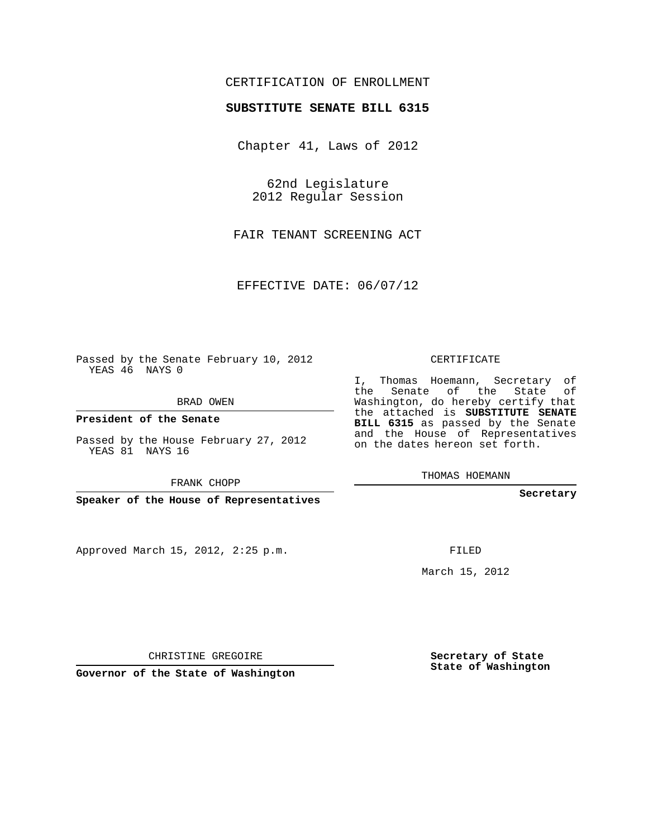## CERTIFICATION OF ENROLLMENT

## **SUBSTITUTE SENATE BILL 6315**

Chapter 41, Laws of 2012

62nd Legislature 2012 Regular Session

FAIR TENANT SCREENING ACT

EFFECTIVE DATE: 06/07/12

Passed by the Senate February 10, 2012 YEAS 46 NAYS 0

BRAD OWEN

**President of the Senate**

Passed by the House February 27, 2012 YEAS 81 NAYS 16

FRANK CHOPP

**Speaker of the House of Representatives**

Approved March 15, 2012, 2:25 p.m.

CERTIFICATE

I, Thomas Hoemann, Secretary of the Senate of the State of Washington, do hereby certify that the attached is **SUBSTITUTE SENATE BILL 6315** as passed by the Senate and the House of Representatives on the dates hereon set forth.

THOMAS HOEMANN

**Secretary**

FILED

March 15, 2012

**Secretary of State State of Washington**

CHRISTINE GREGOIRE

**Governor of the State of Washington**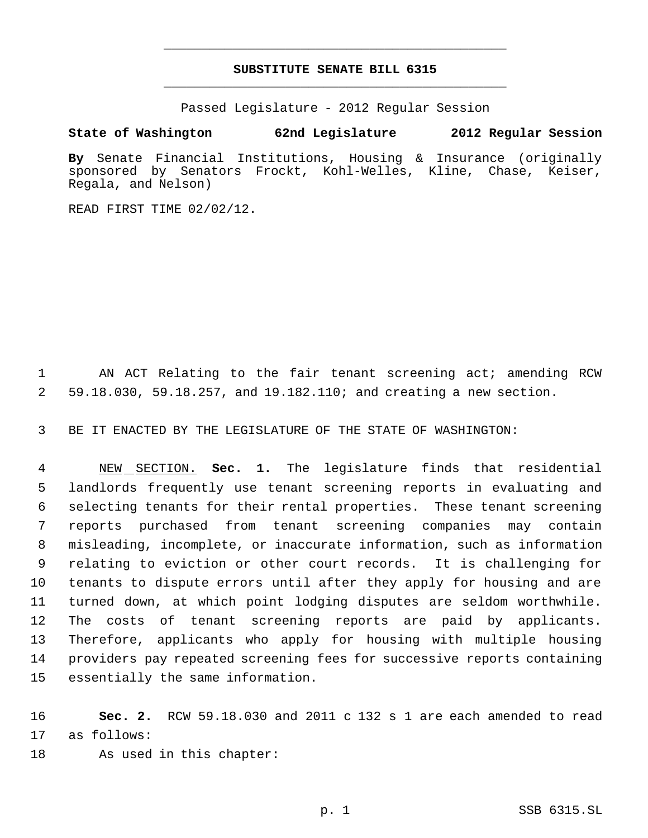## **SUBSTITUTE SENATE BILL 6315** \_\_\_\_\_\_\_\_\_\_\_\_\_\_\_\_\_\_\_\_\_\_\_\_\_\_\_\_\_\_\_\_\_\_\_\_\_\_\_\_\_\_\_\_\_

\_\_\_\_\_\_\_\_\_\_\_\_\_\_\_\_\_\_\_\_\_\_\_\_\_\_\_\_\_\_\_\_\_\_\_\_\_\_\_\_\_\_\_\_\_

Passed Legislature - 2012 Regular Session

## **State of Washington 62nd Legislature 2012 Regular Session**

**By** Senate Financial Institutions, Housing & Insurance (originally sponsored by Senators Frockt, Kohl-Welles, Kline, Chase, Keiser, Regala, and Nelson)

READ FIRST TIME 02/02/12.

 AN ACT Relating to the fair tenant screening act; amending RCW 59.18.030, 59.18.257, and 19.182.110; and creating a new section.

BE IT ENACTED BY THE LEGISLATURE OF THE STATE OF WASHINGTON:

 NEW SECTION. **Sec. 1.** The legislature finds that residential landlords frequently use tenant screening reports in evaluating and selecting tenants for their rental properties. These tenant screening reports purchased from tenant screening companies may contain misleading, incomplete, or inaccurate information, such as information relating to eviction or other court records. It is challenging for tenants to dispute errors until after they apply for housing and are turned down, at which point lodging disputes are seldom worthwhile. The costs of tenant screening reports are paid by applicants. Therefore, applicants who apply for housing with multiple housing providers pay repeated screening fees for successive reports containing essentially the same information.

 **Sec. 2.** RCW 59.18.030 and 2011 c 132 s 1 are each amended to read as follows:

As used in this chapter: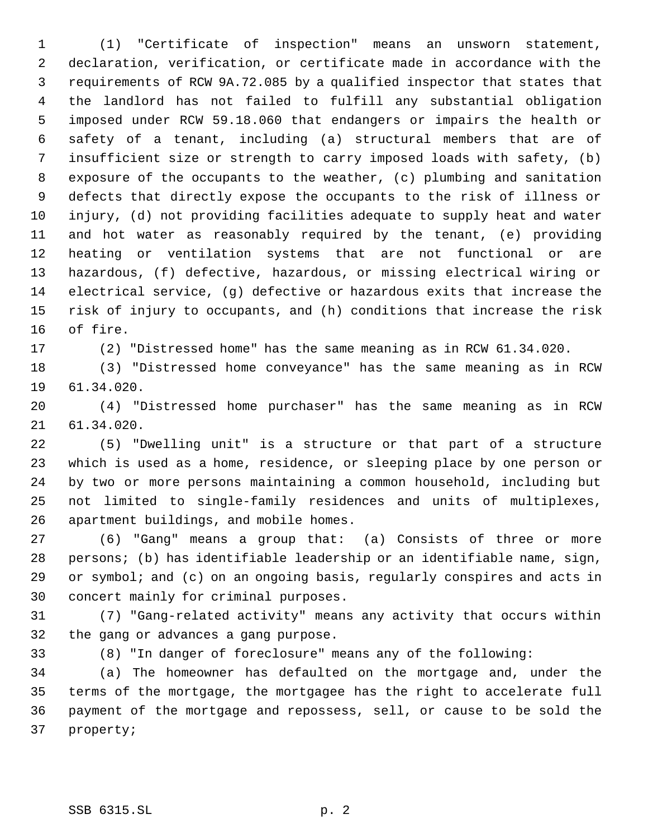(1) "Certificate of inspection" means an unsworn statement, declaration, verification, or certificate made in accordance with the requirements of RCW 9A.72.085 by a qualified inspector that states that the landlord has not failed to fulfill any substantial obligation imposed under RCW 59.18.060 that endangers or impairs the health or safety of a tenant, including (a) structural members that are of insufficient size or strength to carry imposed loads with safety, (b) exposure of the occupants to the weather, (c) plumbing and sanitation defects that directly expose the occupants to the risk of illness or injury, (d) not providing facilities adequate to supply heat and water and hot water as reasonably required by the tenant, (e) providing heating or ventilation systems that are not functional or are hazardous, (f) defective, hazardous, or missing electrical wiring or electrical service, (g) defective or hazardous exits that increase the risk of injury to occupants, and (h) conditions that increase the risk of fire.

(2) "Distressed home" has the same meaning as in RCW 61.34.020.

 (3) "Distressed home conveyance" has the same meaning as in RCW 61.34.020.

 (4) "Distressed home purchaser" has the same meaning as in RCW 61.34.020.

 (5) "Dwelling unit" is a structure or that part of a structure which is used as a home, residence, or sleeping place by one person or by two or more persons maintaining a common household, including but not limited to single-family residences and units of multiplexes, apartment buildings, and mobile homes.

 (6) "Gang" means a group that: (a) Consists of three or more persons; (b) has identifiable leadership or an identifiable name, sign, or symbol; and (c) on an ongoing basis, regularly conspires and acts in concert mainly for criminal purposes.

 (7) "Gang-related activity" means any activity that occurs within the gang or advances a gang purpose.

(8) "In danger of foreclosure" means any of the following:

 (a) The homeowner has defaulted on the mortgage and, under the terms of the mortgage, the mortgagee has the right to accelerate full payment of the mortgage and repossess, sell, or cause to be sold the property;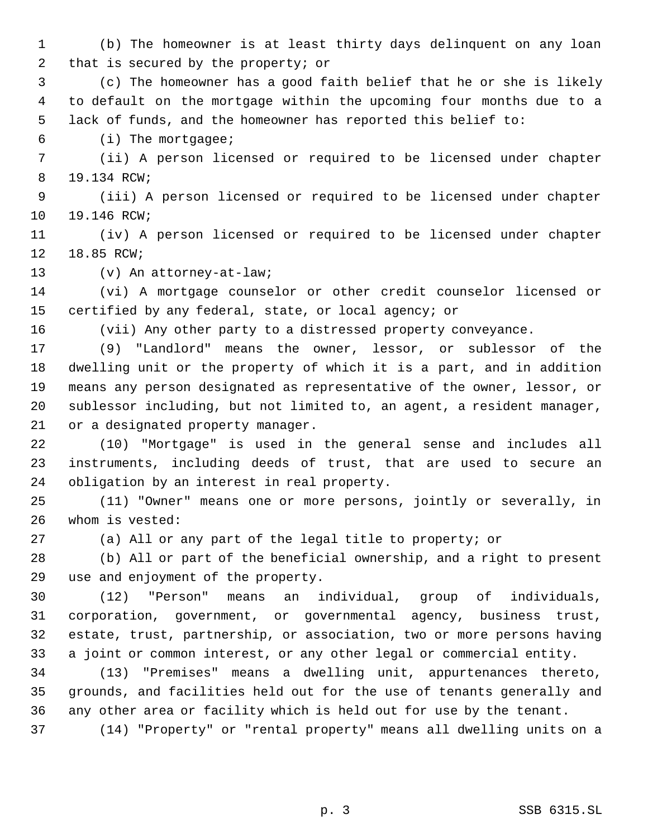(b) The homeowner is at least thirty days delinquent on any loan that is secured by the property; or

 (c) The homeowner has a good faith belief that he or she is likely to default on the mortgage within the upcoming four months due to a lack of funds, and the homeowner has reported this belief to:

(i) The mortgagee;

 (ii) A person licensed or required to be licensed under chapter 19.134 RCW;

 (iii) A person licensed or required to be licensed under chapter 19.146 RCW;

 (iv) A person licensed or required to be licensed under chapter 18.85 RCW;

(v) An attorney-at-law;

 (vi) A mortgage counselor or other credit counselor licensed or certified by any federal, state, or local agency; or

(vii) Any other party to a distressed property conveyance.

 (9) "Landlord" means the owner, lessor, or sublessor of the dwelling unit or the property of which it is a part, and in addition means any person designated as representative of the owner, lessor, or sublessor including, but not limited to, an agent, a resident manager, or a designated property manager.

 (10) "Mortgage" is used in the general sense and includes all instruments, including deeds of trust, that are used to secure an obligation by an interest in real property.

 (11) "Owner" means one or more persons, jointly or severally, in whom is vested:

(a) All or any part of the legal title to property; or

 (b) All or part of the beneficial ownership, and a right to present use and enjoyment of the property.

 (12) "Person" means an individual, group of individuals, corporation, government, or governmental agency, business trust, estate, trust, partnership, or association, two or more persons having a joint or common interest, or any other legal or commercial entity.

 (13) "Premises" means a dwelling unit, appurtenances thereto, grounds, and facilities held out for the use of tenants generally and any other area or facility which is held out for use by the tenant.

(14) "Property" or "rental property" means all dwelling units on a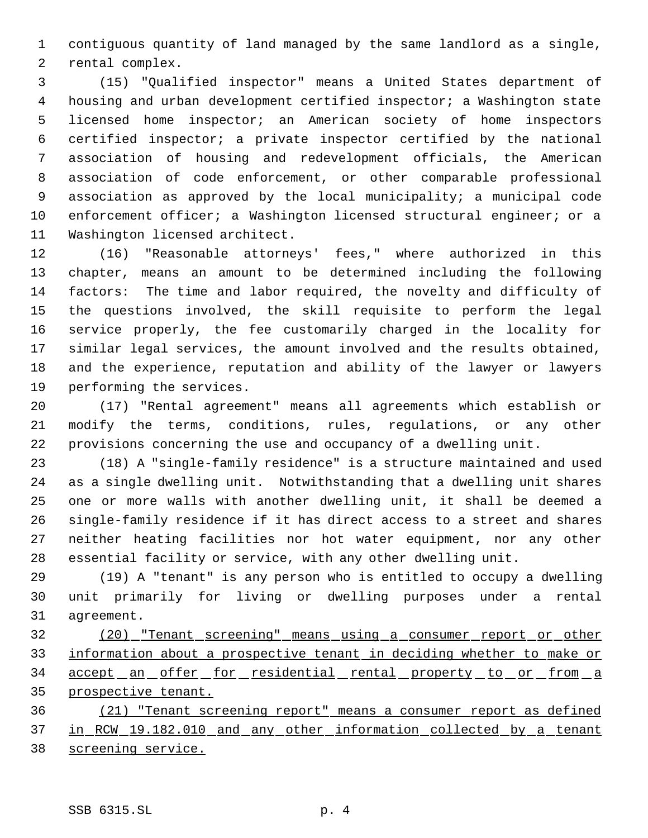contiguous quantity of land managed by the same landlord as a single, rental complex.

 (15) "Qualified inspector" means a United States department of housing and urban development certified inspector; a Washington state licensed home inspector; an American society of home inspectors certified inspector; a private inspector certified by the national association of housing and redevelopment officials, the American association of code enforcement, or other comparable professional association as approved by the local municipality; a municipal code 10 enforcement officer; a Washington licensed structural engineer; or a Washington licensed architect.

 (16) "Reasonable attorneys' fees," where authorized in this chapter, means an amount to be determined including the following factors: The time and labor required, the novelty and difficulty of the questions involved, the skill requisite to perform the legal service properly, the fee customarily charged in the locality for similar legal services, the amount involved and the results obtained, and the experience, reputation and ability of the lawyer or lawyers performing the services.

 (17) "Rental agreement" means all agreements which establish or modify the terms, conditions, rules, regulations, or any other provisions concerning the use and occupancy of a dwelling unit.

 (18) A "single-family residence" is a structure maintained and used as a single dwelling unit. Notwithstanding that a dwelling unit shares one or more walls with another dwelling unit, it shall be deemed a single-family residence if it has direct access to a street and shares neither heating facilities nor hot water equipment, nor any other essential facility or service, with any other dwelling unit.

 (19) A "tenant" is any person who is entitled to occupy a dwelling unit primarily for living or dwelling purposes under a rental agreement.

 (20) "Tenant screening" means using a consumer report or other information about a prospective tenant in deciding whether to make or 34 accept an offer for residential rental property to or from a prospective tenant.

 (21) "Tenant screening report" means a consumer report as defined 37 in RCW 19.182.010 and any other information collected by a tenant screening service.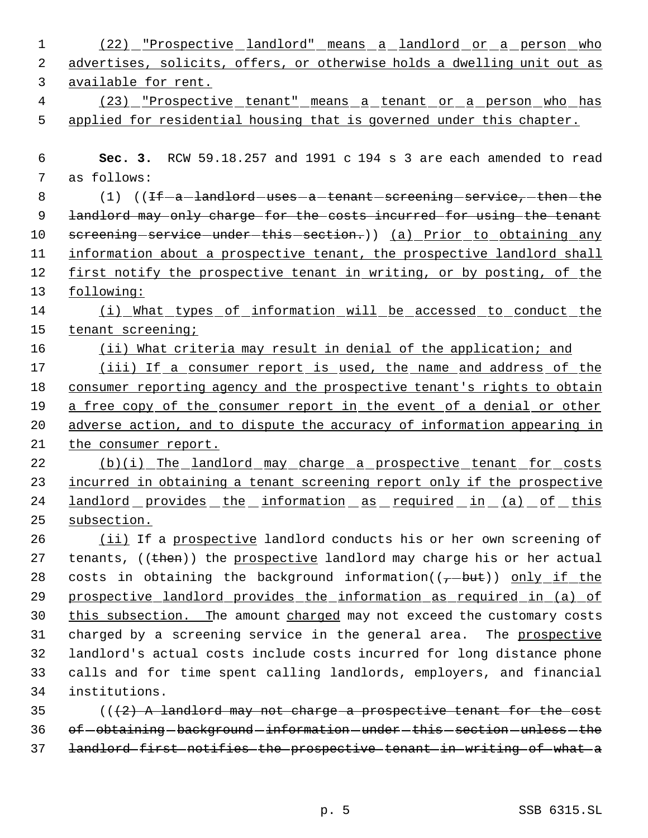| $\mathbf{1}$ | (22) Prospective landlord" means a landlord or a person who                                                                                                                                                                                                                                                                        |
|--------------|------------------------------------------------------------------------------------------------------------------------------------------------------------------------------------------------------------------------------------------------------------------------------------------------------------------------------------|
| 2            | advertises, solicits, offers, or otherwise holds a dwelling unit out as                                                                                                                                                                                                                                                            |
| 3            | available for rent.                                                                                                                                                                                                                                                                                                                |
| 4            | (23) Prospective tenant" means a tenant or a person who has                                                                                                                                                                                                                                                                        |
| 5            | applied for residential housing that is governed under this chapter.                                                                                                                                                                                                                                                               |
|              |                                                                                                                                                                                                                                                                                                                                    |
| 6            | Sec. 3. RCW 59.18.257 and 1991 c 194 s 3 are each amended to read                                                                                                                                                                                                                                                                  |
| 7            | as follows:                                                                                                                                                                                                                                                                                                                        |
| 8            | $(1)$ ( $\text{If}-a-\text{land}$ and $\text{and}-a-\text{t}$ and $\text{a}-\text{t}$ and $\text{a}-\text{t}$ are $\text{a}-\text{t}$ and $\text{a}-\text{t}$ and $\text{a}-\text{t}$ and $\text{a}-\text{t}$ and $\text{a}-\text{t}$ and $\text{a}-\text{t}$ and $\text{a}-\text{t}$ and $\text{a}-\text{t}$ and $\text{a}-\text$ |
| 9            | landlord may only charge for the costs incurred for using the tenant                                                                                                                                                                                                                                                               |
| 10           | screening-service-under-this-section.)) (a) Prior to obtaining any                                                                                                                                                                                                                                                                 |
| 11           | information about a prospective tenant, the prospective landlord shall                                                                                                                                                                                                                                                             |
| 12           | first notify the prospective tenant in writing, or by posting, of the                                                                                                                                                                                                                                                              |
| 13           | following:                                                                                                                                                                                                                                                                                                                         |
| 14           | (i) What types of information will be accessed to conduct the                                                                                                                                                                                                                                                                      |
| 15           | tenant screening;                                                                                                                                                                                                                                                                                                                  |
| 16           | (ii) What criteria may result in denial of the application; and                                                                                                                                                                                                                                                                    |
| 17           | (iii) If a consumer report is used, the name and address of the                                                                                                                                                                                                                                                                    |
| 18           | consumer reporting agency and the prospective tenant's rights to obtain                                                                                                                                                                                                                                                            |
| 19           | a free copy of the consumer report in the event of a denial or other                                                                                                                                                                                                                                                               |
| 20           | adverse action, and to dispute the accuracy of information appearing in                                                                                                                                                                                                                                                            |
| 21           | the consumer report.                                                                                                                                                                                                                                                                                                               |
| 22           | (b)(i) The landlord may charge a prospective tenant for costs                                                                                                                                                                                                                                                                      |
| 23           | incurred in obtaining a tenant screening report only if the prospective                                                                                                                                                                                                                                                            |
| 24           | <u>landlord provides the information as required in (a) of this</u>                                                                                                                                                                                                                                                                |
| 25           | subsection.                                                                                                                                                                                                                                                                                                                        |
| 26           | (ii) If a prospective landlord conducts his or her own screening of                                                                                                                                                                                                                                                                |
| 27           | tenants, ((then)) the prospective landlord may charge his or her actual                                                                                                                                                                                                                                                            |
| 28           | costs in obtaining the background information( $(\tau$ -but)) only if the                                                                                                                                                                                                                                                          |
| 29           | prospective landlord provides the information as required in (a) of                                                                                                                                                                                                                                                                |
| 30           | this subsection. The amount charged may not exceed the customary costs                                                                                                                                                                                                                                                             |
| 31           | charged by a screening service in the general area. The prospective                                                                                                                                                                                                                                                                |
| 32           | landlord's actual costs include costs incurred for long distance phone                                                                                                                                                                                                                                                             |
| 33           | calls and for time spent calling landlords, employers, and financial                                                                                                                                                                                                                                                               |
| 34           | institutions.                                                                                                                                                                                                                                                                                                                      |
| 35           | $((2)$ A landlord may not charge a prospective tenant for the cost                                                                                                                                                                                                                                                                 |
| 36           | of-obtaining-background-information-under-this-section-unless-the                                                                                                                                                                                                                                                                  |
| 37           | landlord first notifies the prospective tenant in writing of what a                                                                                                                                                                                                                                                                |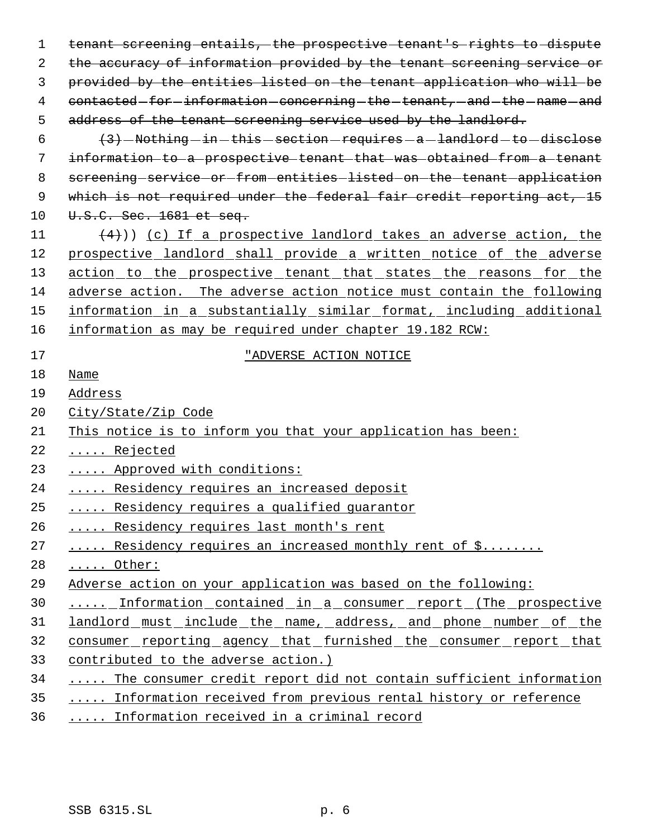tenant screening entails, the prospective tenant's rights to dispute the accuracy of information provided by the tenant screening service or provided by the entities listed on the tenant application who will be 4 contacted-for-information-concerning-the-tenant, and-the-name-and address of the tenant screening service used by the landlord.  $(3)$  -Nothing -in -this -section -requires -a -landlord -to -disclose information to a prospective tenant that was obtained from a tenant 8 screening service or from entities listed on the tenant application 9 which is not required under the federal fair credit reporting act, 15 10 U.S.C. Sec. 1681 et seq. 11  $(4)$ ) (c) If a prospective landlord takes an adverse action, the prospective landlord shall provide a written notice of the adverse 13 action to the prospective tenant that states the reasons for the adverse action. The adverse action notice must contain the following information in a substantially similar format, including additional information as may be required under chapter 19.182 RCW: "ADVERSE ACTION NOTICE Name Address City/State/Zip Code This notice is to inform you that your application has been: ..... Rejected ..... Approved with conditions: 24 ..... Residency requires an increased deposit 25 ..... Residency requires a qualified quarantor ..... Residency requires last month's rent 27 ..... Residency requires an increased monthly rent of \$........ ..... Other: Adverse action on your application was based on the following: 30 ..... Information contained in a consumer report (The prospective 31 landlord must include the name, address, and phone number of the consumer reporting agency that furnished the consumer report that contributed to the adverse action.) 34 ..... The consumer credit report did not contain sufficient information 35 ..... Information received from previous rental history or reference

..... Information received in a criminal record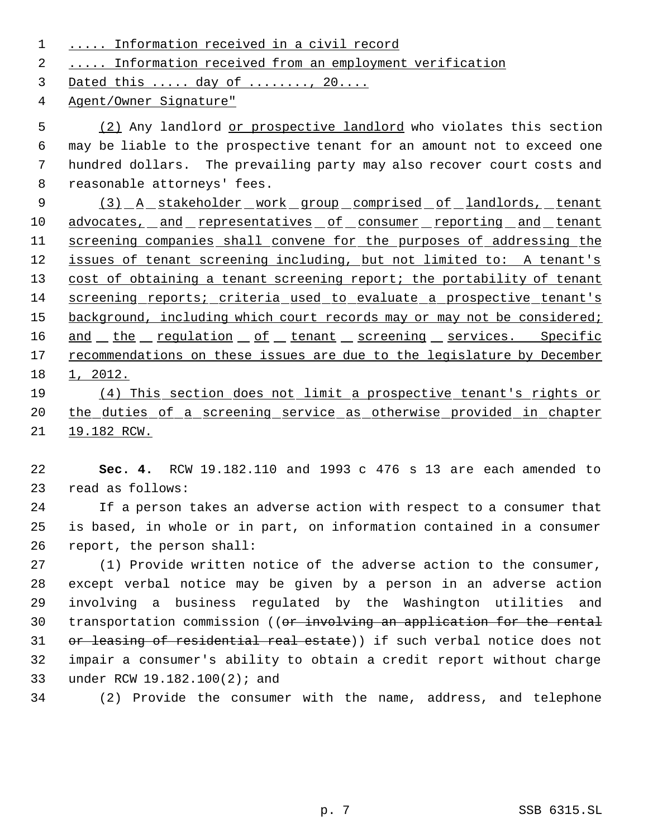1 ..... Information received in a civil record

2 ..... Information received from an employment verification

3 Dated this ..... day of ........, 20....

4 Agent/Owner Signature"

5 (2) Any landlord or prospective landlord who violates this section may be liable to the prospective tenant for an amount not to exceed one hundred dollars. The prevailing party may also recover court costs and reasonable attorneys' fees.

9 (3) A stakeholder work group comprised of landlords, tenant 10 advocates, and representatives of consumer reporting and tenant 11 screening companies shall convene for the purposes of addressing the 12 issues of tenant screening including, but not limited to: A tenant's 13 cost of obtaining a tenant screening report; the portability of tenant 14 screening reports; criteria used to evaluate a prospective tenant's 15 background, including which court records may or may not be considered; 16 and the regulation of tenant screening services. Specific 17 recommendations on these issues are due to the legislature by December 18 1, 2012.

19 (4) This section does not limit a prospective tenant's rights or 20 the duties of a screening service as otherwise provided in chapter 21 19.182 RCW.

22 **Sec. 4.** RCW 19.182.110 and 1993 c 476 s 13 are each amended to 23 read as follows:

24 If a person takes an adverse action with respect to a consumer that 25 is based, in whole or in part, on information contained in a consumer 26 report, the person shall:

 (1) Provide written notice of the adverse action to the consumer, except verbal notice may be given by a person in an adverse action involving a business regulated by the Washington utilities and 30 transportation commission ((or involving an application for the rental 31 or leasing of residential real estate)) if such verbal notice does not impair a consumer's ability to obtain a credit report without charge under RCW 19.182.100(2); and

34 (2) Provide the consumer with the name, address, and telephone